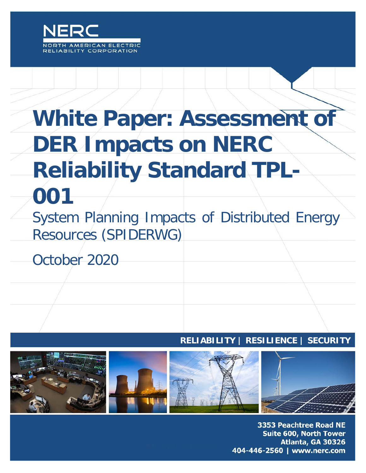

# **White Paper: Assessment of DER Impacts on NERC Reliability Standard TPL-001**

System Planning Impacts of Distributed Energy Resources (SPIDERWG)

October 2020

## **RELIABILITY | RESILIENCE | SECURITY**



3353 Peachtree Road NE **Suite 600, North Tower** Atlanta, GA 30326 404-446-2560 | www.nerc.com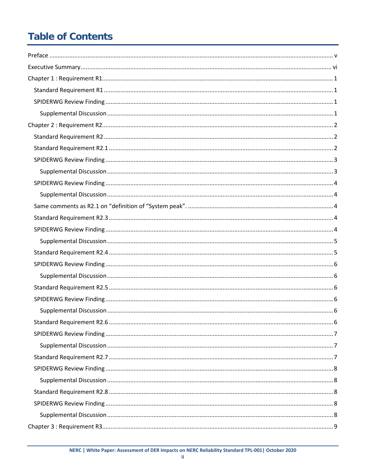# **Table of Contents**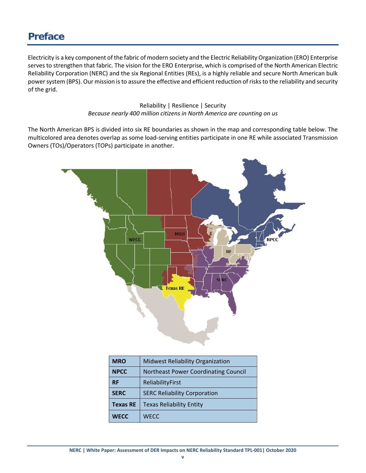## <span id="page-4-0"></span>**Preface**

Electricity is a key component of the fabric of modern society and the Electric Reliability Organization (ERO) Enterprise serves to strengthen that fabric. The vision for the ERO Enterprise, which is comprised of the North American Electric Reliability Corporation (NERC) and the six Regional Entities (REs), is a highly reliable and secure North American bulk power system (BPS). Our mission is to assure the effective and efficient reduction of risks to the reliability and security of the grid.

> Reliability | Resilience | Security *Because nearly 400 million citizens in North America are counting on us*

The North American BPS is divided into six RE boundaries as shown in the map and corresponding table below. The multicolored area denotes overlap as some load-serving entities participate in one RE while associated Transmission Owners (TOs)/Operators (TOPs) participate in another.



| <b>MRO</b>      | <b>Midwest Reliability Organization</b> |  |
|-----------------|-----------------------------------------|--|
| <b>NPCC</b>     | Northeast Power Coordinating Council    |  |
| <b>RF</b>       | ReliabilityFirst                        |  |
| <b>SERC</b>     | <b>SERC Reliability Corporation</b>     |  |
| <b>Texas RE</b> | <b>Texas Reliability Entity</b>         |  |
| <b>WECC</b>     | <b>WECC</b>                             |  |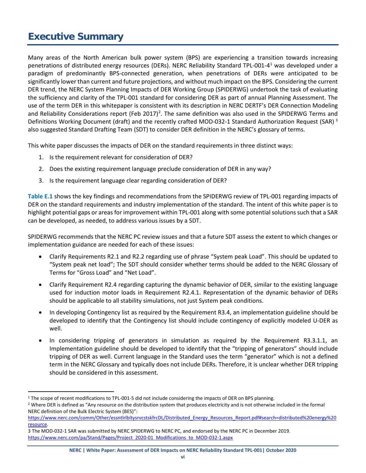## <span id="page-5-0"></span>**Executive Summary**

Many areas of the North American bulk power system (BPS) are experiencing a transition towards increasing penetrations of distributed energy resources (DERs). NERC Reliability Standard TPL-001-4[1](#page-5-1) was developed under a paradigm of predominantly BPS-connected generation, when penetrations of DERs were anticipated to be significantly lower than current and future projections, and without much impact on the BPS. Considering the current DER trend, the NERC System Planning Impacts of DER Working Group (SPIDERWG) undertook the task of evaluating the sufficiency and clarity of the TPL-001 standard for considering DER as part of annual Planning Assessment. The use of the term DER in this whitepaper is consistent with its description in NERC DERTF's DER Connection Modeling and Reliability Considerations report (Feb [2](#page-5-2)017)<sup>2</sup>. The same definition was also used in the SPIDERWG Terms and Definitions Working Document (draft) and the recently crafted MOD-0[3](#page-5-3)2-1 Standard Authorization Request (SAR)<sup>3</sup> also suggested Standard Drafting Team (SDT) to consider DER definition in the NERC's glossary of terms.

This white paper discusses the impacts of DER on the standard requirements in three distinct ways:

- 1. Is the requirement relevant for consideration of DER?
- 2. Does the existing requirement language preclude consideration of DER in any way?
- 3. Is the requirement language clear regarding consideration of DER?

**[Table E.1](#page-6-0)** shows the key findings and recommendations from the SPIDERWG review of TPL-001 regarding impacts of DER on the standard requirements and industry implementation of the standard. The intent of this white paper is to highlight potential gaps or areas for improvement within TPL-001 along with some potential solutions such that a SAR can be developed, as needed, to address various issues by a SDT.

SPIDERWG recommends that the NERC PC review issues and that a future SDT assess the extent to which changes or implementation guidance are needed for each of these issues:

- Clarify Requirements R2.1 and R2.2 regarding use of phrase "System peak Load". This should be updated to "System peak net load"; The SDT should consider whether terms should be added to the NERC Glossary of Terms for "Gross Load" and "Net Load".
- Clarify Requirement R2.4 regarding capturing the dynamic behavior of DER, similar to the existing language used for induction motor loads in Requirement R2.4.1. Representation of the dynamic behavior of DERs should be applicable to all stability simulations, not just System peak conditions.
- In developing Contingency list as required by the Requirement R3.4, an implementation guideline should be developed to identify that the Contingency list should include contingency of explicitly modeled U-DER as well.
- In considering tripping of generators in simulation as required by the Requirement R3.3.1.1, an Implementation guideline should be developed to identify that the "tripping of generators" should include tripping of DER as well. Current language in the Standard uses the term "generator" which is not a defined term in the NERC Glossary and typically does not include DERs. Therefore, it is unclear whether DER tripping should be considered in this assessment.

<span id="page-5-1"></span><sup>&</sup>lt;sup>1</sup> The scope of recent modifications to TPL-001-5 did not include considering the impacts of DER on BPS planning.

<span id="page-5-2"></span><sup>&</sup>lt;sup>2</sup> Where DER is defined as "Any resource on the distribution system that produces electricity and is not otherwise included in the formal NERC definition of the Bulk Electric System (BES)":

[https://www.nerc.com/comm/Other/essntlrlbltysrvcstskfrcDL/Distributed\\_Energy\\_Resources\\_Report.pdf#search=distributed%20energy%20](https://www.nerc.com/comm/Other/essntlrlbltysrvcstskfrcDL/Distributed_Energy_Resources_Report.pdf#search=distributed%20energy%20resource) [resource.](https://www.nerc.com/comm/Other/essntlrlbltysrvcstskfrcDL/Distributed_Energy_Resources_Report.pdf#search=distributed%20energy%20resource)

<span id="page-5-3"></span><sup>3</sup> The MOD-032-1 SAR was submitted by NERC SPIDERWG to NERC PC, and endorsed by the NERC PC in December 2019. [https://www.nerc.com/pa/Stand/Pages/Project\\_2020-01\\_Modifications\\_to\\_MOD-032-1.aspx](https://www.nerc.com/pa/Stand/Pages/Project_2020-01_Modifications_to_MOD-032-1.aspx)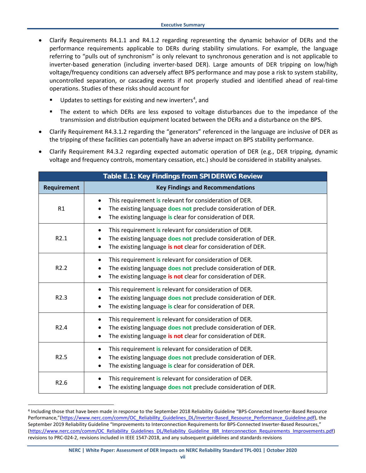- Clarify Requirements R4.1.1 and R4.1.2 regarding representing the dynamic behavior of DERs and the performance requirements applicable to DERs during stability simulations. For example, the language referring to "pulls out of synchronism" is only relevant to synchronous generation and is not applicable to inverter-based generation (including inverter-based DER). Large amounts of DER tripping on low/high voltage/frequency conditions can adversely affect BPS performance and may pose a risk to system stability, uncontrolled separation, or cascading events if not properly studied and identified ahead of real-time operations. Studies of these risks should account for
	- $\blacksquare$  Updates to settings for existing and new inverters<sup>[4](#page-6-1)</sup>, and
	- The extent to which DERs are less exposed to voltage disturbances due to the impedance of the transmission and distribution equipment located between the DERs and a disturbance on the BPS.
- Clarify Requirement R4.3.1.2 regarding the "generators" referenced in the language are inclusive of DER as the tripping of these facilities can potentially have an adverse impact on BPS stability performance.
- Clarify Requirement R4.3.2 regarding expected automatic operation of DER (e.g., DER tripping, dynamic voltage and frequency controls, momentary cessation, etc.) should be considered in stability analyses.

<span id="page-6-0"></span>

| Table E.1: Key Findings from SPIDERWG Review |                                                                                                                                                                                                                                |  |
|----------------------------------------------|--------------------------------------------------------------------------------------------------------------------------------------------------------------------------------------------------------------------------------|--|
| Requirement                                  | <b>Key Findings and Recommendations</b>                                                                                                                                                                                        |  |
| R <sub>1</sub>                               | This requirement is relevant for consideration of DER.<br>$\bullet$<br>The existing language does not preclude consideration of DER.<br>$\bullet$<br>The existing language is clear for consideration of DER.                  |  |
| R2.1                                         | This requirement is relevant for consideration of DER.<br>$\bullet$<br>The existing language does not preclude consideration of DER.<br>$\bullet$<br>The existing language is not clear for consideration of DER.              |  |
| R <sub>2.2</sub>                             | This requirement is relevant for consideration of DER.<br>$\bullet$<br>The existing language does not preclude consideration of DER.<br>$\bullet$<br>The existing language is not clear for consideration of DER.              |  |
| R <sub>2.3</sub>                             | This requirement is relevant for consideration of DER.<br>$\bullet$<br>The existing language does not preclude consideration of DER.<br>$\bullet$<br>The existing language is clear for consideration of DER.                  |  |
| R <sub>2.4</sub>                             | This requirement is relevant for consideration of DER.<br>$\bullet$<br>The existing language does not preclude consideration of DER.<br>$\bullet$<br>The existing language is not clear for consideration of DER.<br>$\bullet$ |  |
| R <sub>2.5</sub>                             | This requirement is relevant for consideration of DER.<br>$\bullet$<br>The existing language does not preclude consideration of DER.<br>$\bullet$<br>The existing language is clear for consideration of DER.<br>$\bullet$     |  |
| R <sub>2.6</sub>                             | This requirement is relevant for consideration of DER.<br>The existing language does not preclude consideration of DER.                                                                                                        |  |

<span id="page-6-1"></span> <sup>4</sup> Including those that have been made in response to the September 2018 Reliability Guideline ["BPS-Connected Inverter-Based Resource](https://www.nerc.com/comm/OC_Reliability_Guidelines_DL/Inverter-Based_Resource_Performance_Guideline.pdf)  [Performance,"\(https://www.nerc.com/comm/OC\\_Reliability\\_Guidelines\\_DL/Inverter-Based\\_Resource\\_Performance\\_Guideline.pdf\)](https://www.nerc.com/comm/OC_Reliability_Guidelines_DL/Inverter-Based_Resource_Performance_Guideline.pdf), the September 2019 Reliability Guideline "Improvements to Interconnection Requirements for BPS-Connected Inverter-Based Resources," [\(https://www.nerc.com/comm/OC\\_Reliability\\_Guidelines\\_DL/Reliability\\_Guideline\\_IBR\\_Interconnection\\_Requirements\\_Improvements.pdf\)](https://www.nerc.com/comm/OC_Reliability_Guidelines_DL/Reliability_Guideline_IBR_Interconnection_Requirements_Improvements.pdf) revisions to PRC-024-2, revisions included in IEEE 1547-2018, and any subsequent guidelines and standards revisions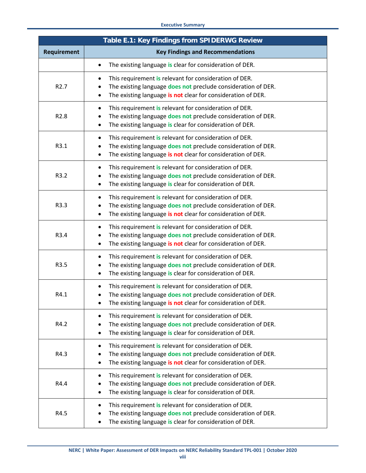#### **Executive Summary**

| Table E.1: Key Findings from SPIDERWG Review |                                                                                                                                                                                                                            |  |
|----------------------------------------------|----------------------------------------------------------------------------------------------------------------------------------------------------------------------------------------------------------------------------|--|
| <b>Requirement</b>                           | <b>Key Findings and Recommendations</b>                                                                                                                                                                                    |  |
|                                              | The existing language is clear for consideration of DER.<br>$\bullet$                                                                                                                                                      |  |
| R <sub>2.7</sub>                             | This requirement is relevant for consideration of DER.<br>٠<br>The existing language does not preclude consideration of DER.<br>$\bullet$<br>The existing language is not clear for consideration of DER.                  |  |
| R <sub>2.8</sub>                             | This requirement is relevant for consideration of DER.<br>$\bullet$<br>The existing language does not preclude consideration of DER.<br>$\bullet$<br>The existing language is clear for consideration of DER.<br>$\bullet$ |  |
| R3.1                                         | This requirement is relevant for consideration of DER.<br>$\bullet$<br>The existing language does not preclude consideration of DER.<br>٠<br>The existing language is not clear for consideration of DER.<br>$\bullet$     |  |
| R3.2                                         | This requirement is relevant for consideration of DER.<br>٠<br>The existing language does not preclude consideration of DER.<br>$\bullet$<br>The existing language is clear for consideration of DER.<br>$\bullet$         |  |
| R3.3                                         | This requirement is relevant for consideration of DER.<br>$\bullet$<br>The existing language does not preclude consideration of DER.<br>$\bullet$<br>The existing language is not clear for consideration of DER.<br>٠     |  |
| R3.4                                         | This requirement is relevant for consideration of DER.<br>$\bullet$<br>The existing language does not preclude consideration of DER.<br>٠<br>The existing language is not clear for consideration of DER.<br>٠             |  |
| R3.5                                         | This requirement is relevant for consideration of DER.<br>٠<br>The existing language does not preclude consideration of DER.<br>٠<br>The existing language is clear for consideration of DER.<br>$\bullet$                 |  |
| R4.1                                         | This requirement is relevant for consideration of DER.<br>The existing language does not preclude consideration of DER.<br>٠<br>The existing language is not clear for consideration of DER.                               |  |
| R4.2                                         | This requirement is relevant for consideration of DER.<br>$\bullet$<br>The existing language does not preclude consideration of DER.<br>$\bullet$<br>The existing language is clear for consideration of DER.<br>$\bullet$ |  |
| R4.3                                         | This requirement is relevant for consideration of DER.<br>$\bullet$<br>The existing language does not preclude consideration of DER.<br>The existing language is not clear for consideration of DER.<br>$\bullet$          |  |
| R4.4                                         | This requirement is relevant for consideration of DER.<br>$\bullet$<br>The existing language does not preclude consideration of DER.<br>The existing language is clear for consideration of DER.                           |  |
| R4.5                                         | This requirement is relevant for consideration of DER.<br>$\bullet$<br>The existing language does not preclude consideration of DER.<br>The existing language is clear for consideration of DER.                           |  |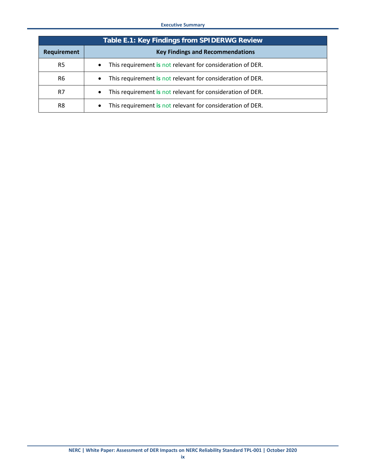#### **Executive Summary**

| Table E.1: Key Findings from SPIDERWG Review |                                                                         |  |
|----------------------------------------------|-------------------------------------------------------------------------|--|
| <b>Requirement</b>                           | <b>Key Findings and Recommendations</b>                                 |  |
| R5                                           | This requirement is not relevant for consideration of DER.<br>$\bullet$ |  |
| R6                                           | This requirement is not relevant for consideration of DER.              |  |
| R7                                           | This requirement is not relevant for consideration of DER.<br>$\bullet$ |  |
| R8                                           | This requirement is not relevant for consideration of DER.              |  |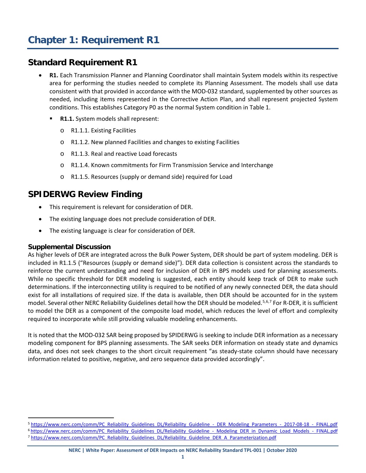- <span id="page-9-1"></span><span id="page-9-0"></span>• **R1.** Each Transmission Planner and Planning Coordinator shall maintain System models within its respective area for performing the studies needed to complete its Planning Assessment. The models shall use data consistent with that provided in accordance with the MOD-032 standard, supplemented by other sources as needed, including items represented in the Corrective Action Plan, and shall represent projected System conditions. This establishes Category P0 as the normal System condition in Table 1.
	- **R1.1.** System models shall represent:
		- o R1.1.1. Existing Facilities
		- o R1.1.2. New planned Facilities and changes to existing Facilities
		- o R1.1.3. Real and reactive Load forecasts
		- o R1.1.4. Known commitments for Firm Transmission Service and Interchange
		- o R1.1.5. Resources (supply or demand side) required for Load

## <span id="page-9-2"></span>**SPIDERWG Review Finding**

- This requirement is relevant for consideration of DER.
- The existing language does not preclude consideration of DER.
- The existing language is clear for consideration of DER.

#### <span id="page-9-3"></span>**Supplemental Discussion**

As higher levels of DER are integrated across the Bulk Power System, DER should be part of system modeling. DER is included in R1.1.5 ("Resources (supply or demand side)"). DER data collection is consistent across the standards to reinforce the current understanding and need for inclusion of DER in BPS models used for planning assessments. While no specific threshold for DER modeling is suggested, each entity should keep track of DER to make such determinations. If the interconnecting utility is required to be notified of any newly connected DER, the data should exist for all installations of required size. If the data is available, then DER should be accounted for in the system model. Several other NERC Reliability Guidelines detail how the DER should be modeled.<sup>[5,](#page-9-4)[6,](#page-9-5)[7](#page-9-6)</sup> For R-DER, it is sufficient to model the DER as a component of the composite load model, which reduces the level of effort and complexity required to incorporate while still providing valuable modeling enhancements.

It is noted that the MOD-032 SAR being proposed by SPIDERWG is seeking to include DER information as a necessary modeling component for BPS planning assessments. The SAR seeks DER information on steady state and dynamics data, and does not seek changes to the short circuit requirement "as steady-state column should have necessary information related to positive, negative, and zero sequence data provided accordingly".

<span id="page-9-6"></span><span id="page-9-5"></span><span id="page-9-4"></span><sup>5</sup> [https://www.nerc.com/comm/PC\\_Reliability\\_Guidelines\\_DL/Reliability\\_Guideline\\_-\\_DER\\_Modeling\\_Parameters\\_-\\_2017-08-18\\_-\\_FINAL.pdf](https://www.nerc.com/comm/PC_Reliability_Guidelines_DL/Reliability_Guideline_-_DER_Modeling_Parameters_-_2017-08-18_-_FINAL.pdf) 6 [https://www.nerc.com/comm/PC\\_Reliability\\_Guidelines\\_DL/Reliability\\_Guideline\\_-\\_Modeling\\_DER\\_in\\_Dynamic\\_Load\\_Models\\_-\\_FINAL.pdf](https://www.nerc.com/comm/PC_Reliability_Guidelines_DL/Reliability_Guideline_-_Modeling_DER_in_Dynamic_Load_Models_-_FINAL.pdf) 7 [https://www.nerc.com/comm/PC\\_Reliability\\_Guidelines\\_DL/Reliability\\_Guideline\\_DER\\_A\\_Parameterization.pdf](https://www.nerc.com/comm/PC_Reliability_Guidelines_DL/Reliability_Guideline_DER_A_Parameterization.pdf)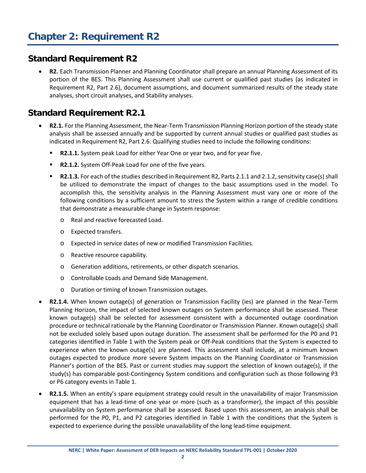<span id="page-10-1"></span><span id="page-10-0"></span>• **R2.** Each Transmission Planner and Planning Coordinator shall prepare an annual Planning Assessment of its portion of the BES. This Planning Assessment shall use current or qualified past studies (as indicated in Requirement R2, Part 2.6), document assumptions, and document summarized results of the steady state analyses, short circuit analyses, and Stability analyses.

## <span id="page-10-2"></span>**Standard Requirement R2.1**

- **R2.1.** For the Planning Assessment, the Near-Term Transmission Planning Horizon portion of the steady state analysis shall be assessed annually and be supported by current annual studies or qualified past studies as indicated in Requirement R2, Part 2.6. Qualifying studies need to include the following conditions:
	- **R2.1.1.** System peak Load for either Year One or year two, and for year five.
	- **R2.1.2.** System Off-Peak Load for one of the five years.
	- **R2.1.3.** For each of the studies described in Requirement R2, Parts 2.1.1 and 2.1.2, sensitivity case(s) shall be utilized to demonstrate the impact of changes to the basic assumptions used in the model. To accomplish this, the sensitivity analysis in the Planning Assessment must vary one or more of the following conditions by a sufficient amount to stress the System within a range of credible conditions that demonstrate a measurable change in System response:
		- o Real and reactive forecasted Load.
		- o Expected transfers.
		- o Expected in service dates of new or modified Transmission Facilities.
		- o Reactive resource capability.
		- o Generation additions, retirements, or other dispatch scenarios.
		- o Controllable Loads and Demand Side Management.
		- o Duration or timing of known Transmission outages.
- **R2.1.4.** When known outage(s) of generation or Transmission Facility (ies) are planned in the Near-Term Planning Horizon, the impact of selected known outages on System performance shall be assessed. These known outage(s) shall be selected for assessment consistent with a documented outage coordination procedure or technical rationale by the Planning Coordinator or Transmission Planner. Known outage(s) shall not be excluded solely based upon outage duration. The assessment shall be performed for the P0 and P1 categories identified in Table 1 with the System peak or Off-Peak conditions that the System is expected to experience when the known outage(s) are planned. This assessment shall include, at a minimum known outages expected to produce more severe System impacts on the Planning Coordinator or Transmission Planner's portion of the BES. Past or current studies may support the selection of known outage(s), if the study(s) has comparable post-Contingency System conditions and configuration such as those following P3 or P6 category events in Table 1.
- **R2.1.5.** When an entity's spare equipment strategy could result in the unavailability of major Transmission equipment that has a lead-time of one year or more (such as a transformer), the impact of this possible unavailability on System performance shall be assessed. Based upon this assessment, an analysis shall be performed for the P0, P1, and P2 categories identified in Table 1 with the conditions that the System is expected to experience during the possible unavailability of the long lead-time equipment.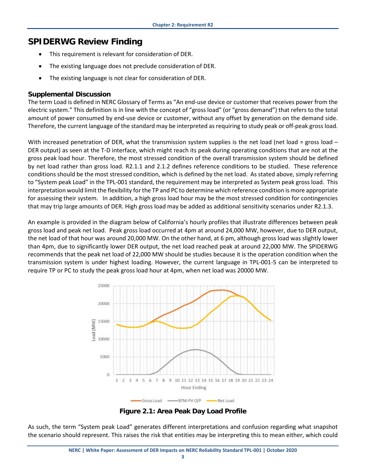## <span id="page-11-0"></span>**SPIDERWG Review Finding**

- This requirement is relevant for consideration of DER.
- The existing language does not preclude consideration of DER.
- The existing language is not clear for consideration of DER.

#### <span id="page-11-1"></span>**Supplemental Discussion**

The term Load is defined in NERC Glossary of Terms as "An end-use device or customer that receives power from the electric system." This definition is in line with the concept of "gross load" (or "gross demand") that refers to the total amount of power consumed by end-use device or customer, without any offset by generation on the demand side. Therefore, the current language of the standard may be interpreted as requiring to study peak or off-peak gross load.

With increased penetration of DER, what the transmission system supplies is the net load (net load = gross load  $-$ DER output) as seen at the T-D interface, which might reach its peak during operating conditions that are not at the gross peak load hour. Therefore, the most stressed condition of the overall transmission system should be defined by net load rather than gross load. R2.1.1 and 2.1.2 defines reference conditions to be studied. These reference conditions should be the most stressed condition, which is defined by the net load. As stated above, simply referring to "System peak Load" in the TPL-001 standard, the requirement may be interpreted as System peak gross load. This interpretation would limit the flexibility for the TP and PC to determine which reference condition is more appropriate for assessing their system. In addition, a high gross load hour may be the most stressed condition for contingencies that may trip large amounts of DER. High gross load may be added as additional sensitivity scenarios under R2.1.3.

An example is provided in the diagram below of California's hourly profiles that illustrate differences between peak gross load and peak net load. Peak gross load occurred at 4pm at around 24,000 MW, however, due to DER output, the net load of that hour was around 20,000 MW. On the other hand, at 6 pm, although gross load was slightly lower than 4pm, due to significantly lower DER output, the net load reached peak at around 22,000 MW. The SPIDERWG recommends that the peak net load of 22,000 MW should be studies because it is the operation condition when the transmission system is under highest loading. However, the current language in TPL-001-5 can be interpreted to require TP or PC to study the peak gross load hour at 4pm, when net load was 20000 MW.



**Figure 2.1: Area Peak Day Load Profile**

As such, the term "System peak Load" generates different interpretations and confusion regarding what snapshot the scenario should represent. This raises the risk that entities may be interpreting this to mean either, which could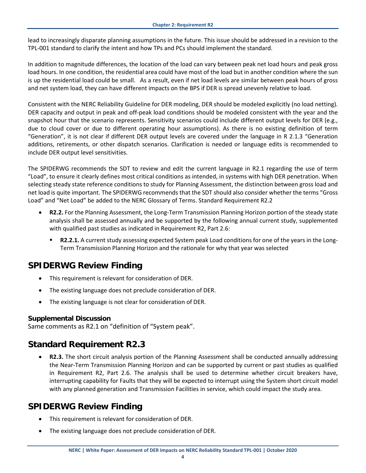lead to increasingly disparate planning assumptions in the future. This issue should be addressed in a revision to the TPL-001 standard to clarify the intent and how TPs and PCs should implement the standard.

In addition to magnitude differences, the location of the load can vary between peak net load hours and peak gross load hours. In one condition, the residential area could have most of the load but in another condition where the sun is up the residential load could be small. As a result, even if net load levels are similar between peak hours of gross and net system load, they can have different impacts on the BPS if DER is spread unevenly relative to load.

Consistent with the NERC Reliability Guideline for DER modeling, DER should be modeled explicitly (no load netting). DER capacity and output in peak and off-peak load conditions should be modeled consistent with the year and the snapshot hour that the scenario represents. Sensitivity scenarios could include different output levels for DER (e.g., due to cloud cover or due to different operating hour assumptions). As there is no existing definition of term "Generation", it is not clear if different DER output levels are covered under the language in R 2.1.3 "Generation additions, retirements, or other dispatch scenarios. Clarification is needed or language edits is recommended to include DER output level sensitivities.

The SPIDERWG recommends the SDT to review and edit the current language in R2.1 regarding the use of term "Load", to ensure it clearly defines most critical conditions as intended, in systems with high DER penetration. When selecting steady state reference conditions to study for Planning Assessment, the distinction between gross load and net load is quite important. The SPIDERWG recommends that the SDT should also consider whether the terms "Gross Load" and "Net Load" be added to the NERC Glossary of Terms. Standard Requirement R2.2

- **R2.2.** For the Planning Assessment, the Long-Term Transmission Planning Horizon portion of the steady state analysis shall be assessed annually and be supported by the following annual current study, supplemented with qualified past studies as indicated in Requirement R2, Part 2.6:
	- **R2.2.1.** A current study assessing expected System peak Load conditions for one of the years in the Long-Term Transmission Planning Horizon and the rationale for why that year was selected

## <span id="page-12-0"></span>**SPIDERWG Review Finding**

- This requirement is relevant for consideration of DER.
- The existing language does not preclude consideration of DER.
- The existing language is not clear for consideration of DER.

#### <span id="page-12-1"></span>**Supplemental Discussion**

<span id="page-12-2"></span>Same comments as R2.1 on "definition of "System peak".

## <span id="page-12-3"></span>**Standard Requirement R2.3**

• **R2.3.** The short circuit analysis portion of the Planning Assessment shall be conducted annually addressing the Near-Term Transmission Planning Horizon and can be supported by current or past studies as qualified in Requirement R2, Part 2.6. The analysis shall be used to determine whether circuit breakers have, interrupting capability for Faults that they will be expected to interrupt using the System short circuit model with any planned generation and Transmission Facilities in service, which could impact the study area.

## <span id="page-12-4"></span>**SPIDERWG Review Finding**

- This requirement is relevant for consideration of DER.
- The existing language does not preclude consideration of DER.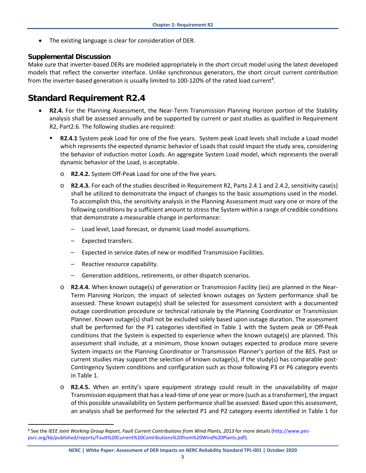The existing language is clear for consideration of DER.

#### <span id="page-13-0"></span>**Supplemental Discussion**

Make sure that inverter-based DERs are modeled appropriately in the short circuit model using the latest developed models that reflect the converter interface. Unlike synchronous generators, the short circuit current contribution from the inverter-based generation is usually limited to 100-120% of the rated load current<sup>[8](#page-13-2)</sup>.

## <span id="page-13-1"></span>**Standard Requirement R2.4**

- **R2.4.** For the Planning Assessment, the Near-Term Transmission Planning Horizon portion of the Stability analysis shall be assessed annually and be supported by current or past studies as qualified in Requirement R2, Part2.6. The following studies are required:
	- **R2.4.1** System peak Load for one of the five years. System peak Load levels shall include a Load model which represents the expected dynamic behavior of Loads that could impact the study area, considering the behavior of induction motor Loads. An aggregate System Load model, which represents the overall dynamic behavior of the Load, is acceptable.
		- o **R2.4.2.** System Off-Peak Load for one of the five years.
		- o **R2.4.3.** For each of the studies described in Requirement R2, Parts 2.4.1 and 2.4.2, sensitivity case(s) shall be utilized to demonstrate the impact of changes to the basic assumptions used in the model. To accomplish this, the sensitivity analysis in the Planning Assessment must vary one or more of the following conditions by a sufficient amount to stress the System within a range of credible conditions that demonstrate a measurable change in performance:
			- Load level, Load forecast, or dynamic Load model assumptions.
			- Expected transfers.
			- Expected in service dates of new or modified Transmission Facilities.
			- Reactive resource capability.
			- Generation additions, retirements, or other dispatch scenarios.
		- o **R2.4.4.** When known outage(s) of generation or Transmission Facility (ies) are planned in the Near-Term Planning Horizon, the impact of selected known outages on System performance shall be assessed. These known outage(s) shall be selected for assessment consistent with a documented outage coordination procedure or technical rationale by the Planning Coordinator or Transmission Planner. Known outage(s) shall not be excluded solely based upon outage duration. The assessment shall be performed for the P1 categories identified in Table 1 with the System peak or Off-Peak conditions that the System is expected to experience when the known outage(s) are planned. This assessment shall include, at a minimum, those known outages expected to produce more severe System impacts on the Planning Coordinator or Transmission Planner's portion of the BES. Past or current studies may support the selection of known outage(s), if the study(s) has comparable post-Contingency System conditions and configuration such as those following P3 or P6 category events in Table 1.
		- o **R2.4.5.** When an entity's spare equipment strategy could result in the unavailability of major Transmission equipment that has a lead-time of one year or more (such as a transformer), the impact of this possible unavailability on System performance shall be assessed. Based upon this assessment, an analysis shall be performed for the selected P1 and P2 category events identified in Table 1 for

<span id="page-13-2"></span> <sup>8</sup> See the *IEEE Joint Working Group Report, Fault Current Contributions from Wind Plants, 2013* for more details (http://www.pespsrc.org/kb/published/reports/Fault%20Current%20Contributions%20from%20Wind%20Plants.pdf).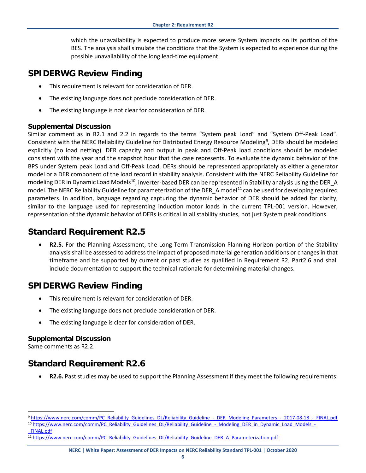which the unavailability is expected to produce more severe System impacts on its portion of the BES. The analysis shall simulate the conditions that the System is expected to experience during the possible unavailability of the long lead-time equipment.

#### <span id="page-14-0"></span>**SPIDERWG Review Finding**

- This requirement is relevant for consideration of DER.
- The existing language does not preclude consideration of DER.
- The existing language is not clear for consideration of DER.

#### <span id="page-14-1"></span>**Supplemental Discussion**

Similar comment as in R2.1 and 2.2 in regards to the terms "System peak Load" and "System Off-Peak Load". Consistent with the NERC Reliability Guideline for Distributed Energy Resource Modeling<sup>[9](#page-14-6)</sup>, DERs should be modeled explicitly (no load netting). DER capacity and output in peak and Off-Peak load conditions should be modeled consistent with the year and the snapshot hour that the case represents. To evaluate the dynamic behavior of the BPS under System peak Load and Off-Peak Load, DERs should be represented appropriately as either a generator model or a DER component of the load record in stability analysis. Consistent with the NERC Reliability Guideline for modeling DER in Dynamic Load Models<sup>[10](#page-14-7)</sup>, inverter-based DER can be represented in Stability analysis using the DER\_A model. The NERC Reliability Guideline for parameterization of the DER\_A model<sup>[11](#page-14-8)</sup> can be used for developing required parameters. In addition, language regarding capturing the dynamic behavior of DER should be added for clarity, similar to the language used for representing induction motor loads in the current TPL-001 version. However, representation of the dynamic behavior of DERs is critical in all stability studies, not just System peak conditions.

#### <span id="page-14-2"></span>**Standard Requirement R2.5**

• **R2.5.** For the Planning Assessment, the Long-Term Transmission Planning Horizon portion of the Stability analysis shall be assessed to address the impact of proposed material generation additions or changes in that timeframe and be supported by current or past studies as qualified in Requirement R2, Part2.6 and shall include documentation to support the technical rationale for determining material changes.

### <span id="page-14-3"></span>**SPIDERWG Review Finding**

- This requirement is relevant for consideration of DER.
- The existing language does not preclude consideration of DER.
- The existing language is clear for consideration of DER.

#### <span id="page-14-4"></span>**Supplemental Discussion**

Same comments as R2.2.

[\\_FINAL.pdf](https://www.nerc.com/comm/PC_Reliability_Guidelines_DL/Reliability_Guideline_-_Modeling_DER_in_Dynamic_Load_Models_-_FINAL.pdf)

## <span id="page-14-5"></span>**Standard Requirement R2.6**

• **R2.6.** Past studies may be used to support the Planning Assessment if they meet the following requirements:

<span id="page-14-7"></span><span id="page-14-6"></span><sup>9</sup> [https://www.nerc.com/comm/PC\\_Reliability\\_Guidelines\\_DL/Reliability\\_Guideline\\_-\\_DER\\_Modeling\\_Parameters\\_-\\_2017-08-18\\_-\\_FINAL.pdf](https://www.nerc.com/comm/PC_Reliability_Guidelines_DL/Reliability_Guideline_-_DER_Modeling_Parameters_-_2017-08-18_-_FINAL.pdf) 10 [https://www.nerc.com/comm/PC\\_Reliability\\_Guidelines\\_DL/Reliability\\_Guideline\\_-\\_Modeling\\_DER\\_in\\_Dynamic\\_Load\\_Models\\_-](https://www.nerc.com/comm/PC_Reliability_Guidelines_DL/Reliability_Guideline_-_Modeling_DER_in_Dynamic_Load_Models_-_FINAL.pdf)

<span id="page-14-8"></span><sup>11</sup> [https://www.nerc.com/comm/PC\\_Reliability\\_Guidelines\\_DL/Reliability\\_Guideline\\_DER\\_A\\_Parameterization.pdf](https://www.nerc.com/comm/PC_Reliability_Guidelines_DL/Reliability_Guideline_DER_A_Parameterization.pdf)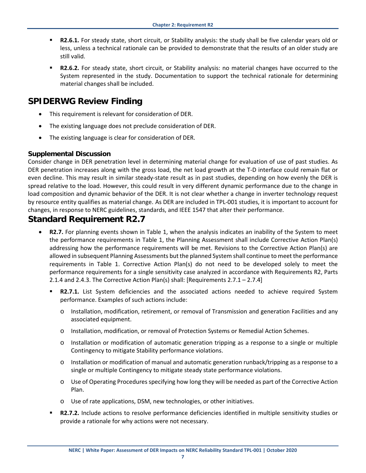- **R2.6.1.** For steady state, short circuit, or Stability analysis: the study shall be five calendar years old or less, unless a technical rationale can be provided to demonstrate that the results of an older study are still valid.
- **R2.6.2.** For steady state, short circuit, or Stability analysis: no material changes have occurred to the System represented in the study. Documentation to support the technical rationale for determining material changes shall be included.

#### <span id="page-15-0"></span>**SPIDERWG Review Finding**

- This requirement is relevant for consideration of DER.
- The existing language does not preclude consideration of DER.
- The existing language is clear for consideration of DER.

#### <span id="page-15-1"></span>**Supplemental Discussion**

Consider change in DER penetration level in determining material change for evaluation of use of past studies. As DER penetration increases along with the gross load, the net load growth at the T-D interface could remain flat or even decline. This may result in similar steady-state result as in past studies, depending on how evenly the DER is spread relative to the load. However, this could result in very different dynamic performance due to the change in load composition and dynamic behavior of the DER. It is not clear whether a change in inverter technology request by resource entity qualifies as material change. As DER are included in TPL-001 studies, it is important to account for changes, in response to NERC guidelines, standards, and IEEE 1547 that alter their performance.

## <span id="page-15-2"></span>**Standard Requirement R2.7**

- **R2.7.** For planning events shown in Table 1, when the analysis indicates an inability of the System to meet the performance requirements in Table 1, the Planning Assessment shall include Corrective Action Plan(s) addressing how the performance requirements will be met. Revisions to the Corrective Action Plan(s) are allowed in subsequent Planning Assessments but the planned System shall continue to meet the performance requirements in Table 1. Corrective Action Plan(s) do not need to be developed solely to meet the performance requirements for a single sensitivity case analyzed in accordance with Requirements R2, Parts 2.1.4 and 2.4.3. The Corrective Action Plan(s) shall: [Requirements  $2.7.1 - 2.7.4$ ]
	- **R2.7.1.** List System deficiencies and the associated actions needed to achieve required System performance. Examples of such actions include:
		- o Installation, modification, retirement, or removal of Transmission and generation Facilities and any associated equipment.
		- o Installation, modification, or removal of Protection Systems or Remedial Action Schemes.
		- o Installation or modification of automatic generation tripping as a response to a single or multiple Contingency to mitigate Stability performance violations.
		- o Installation or modification of manual and automatic generation runback/tripping as a response to a single or multiple Contingency to mitigate steady state performance violations.
		- o Use of Operating Procedures specifying how long they will be needed as part of the Corrective Action Plan.
		- o Use of rate applications, DSM, new technologies, or other initiatives.
	- **R2.7.2.** Include actions to resolve performance deficiencies identified in multiple sensitivity studies or provide a rationale for why actions were not necessary.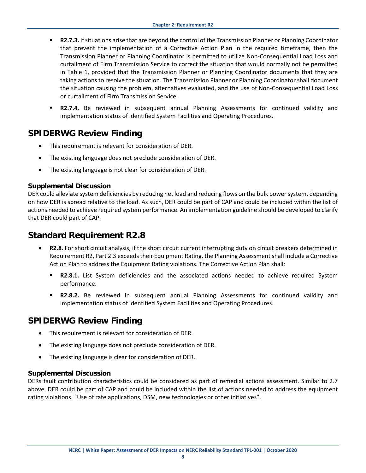- **R2.7.3.** If situations arise that are beyond the control of the Transmission Planner or Planning Coordinator that prevent the implementation of a Corrective Action Plan in the required timeframe, then the Transmission Planner or Planning Coordinator is permitted to utilize Non-Consequential Load Loss and curtailment of Firm Transmission Service to correct the situation that would normally not be permitted in Table 1, provided that the Transmission Planner or Planning Coordinator documents that they are taking actions to resolve the situation. The Transmission Planner or Planning Coordinator shall document the situation causing the problem, alternatives evaluated, and the use of Non-Consequential Load Loss or curtailment of Firm Transmission Service.
- **R2.7.4.** Be reviewed in subsequent annual Planning Assessments for continued validity and implementation status of identified System Facilities and Operating Procedures.

#### <span id="page-16-0"></span>**SPIDERWG Review Finding**

- This requirement is relevant for consideration of DER.
- The existing language does not preclude consideration of DER.
- The existing language is not clear for consideration of DER.

#### <span id="page-16-1"></span>**Supplemental Discussion**

DER could alleviate system deficiencies by reducing net load and reducing flows on the bulk power system, depending on how DER is spread relative to the load. As such, DER could be part of CAP and could be included within the list of actions needed to achieve required system performance. An implementation guideline should be developed to clarify that DER could part of CAP.

#### <span id="page-16-2"></span>**Standard Requirement R2.8**

- **R2.8**. For short circuit analysis, if the short circuit current interrupting duty on circuit breakers determined in Requirement R2, Part 2.3 exceeds their Equipment Rating, the Planning Assessment shall include a Corrective Action Plan to address the Equipment Rating violations. The Corrective Action Plan shall:
	- **R2.8.1.** List System deficiencies and the associated actions needed to achieve required System performance.
	- **R2.8.2.** Be reviewed in subsequent annual Planning Assessments for continued validity and implementation status of identified System Facilities and Operating Procedures.

#### <span id="page-16-3"></span>**SPIDERWG Review Finding**

- This requirement is relevant for consideration of DER.
- The existing language does not preclude consideration of DER.
- The existing language is clear for consideration of DER.

#### <span id="page-16-4"></span>**Supplemental Discussion**

DERs fault contribution characteristics could be considered as part of remedial actions assessment. Similar to 2.7 above, DER could be part of CAP and could be included within the list of actions needed to address the equipment rating violations. "Use of rate applications, DSM, new technologies or other initiatives".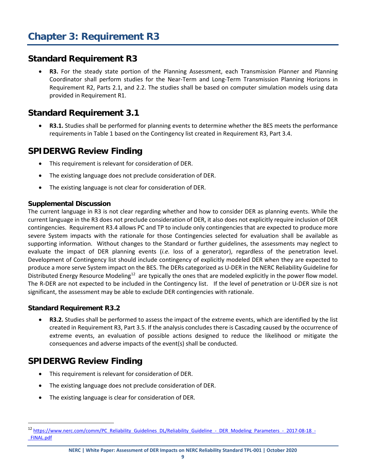<span id="page-17-1"></span><span id="page-17-0"></span>• **R3.** For the steady state portion of the Planning Assessment, each Transmission Planner and Planning Coordinator shall perform studies for the Near-Term and Long-Term Transmission Planning Horizons in Requirement R2, Parts 2.1, and 2.2. The studies shall be based on computer simulation models using data provided in Requirement R1.

## <span id="page-17-2"></span>**Standard Requirement 3.1**

• **R3.1.** Studies shall be performed for planning events to determine whether the BES meets the performance requirements in Table 1 based on the Contingency list created in Requirement R3, Part 3.4.

### <span id="page-17-3"></span>**SPIDERWG Review Finding**

- This requirement is relevant for consideration of DER.
- The existing language does not preclude consideration of DER.
- The existing language is not clear for consideration of DER.

#### <span id="page-17-4"></span>**Supplemental Discussion**

The current language in R3 is not clear regarding whether and how to consider DER as planning events. While the current language in the R3 does not preclude consideration of DER, it also does not explicitly require inclusion of DER contingencies. Requirement R3.4 allows PC and TP to include only contingencies that are expected to produce more severe System impacts with the rationale for those Contingencies selected for evaluation shall be available as supporting information. Without changes to the Standard or further guidelines, the assessments may neglect to evaluate the impact of DER planning events (*i.e.* loss of a generator), regardless of the penetration level. Development of Contingency list should include contingency of explicitly modeled DER when they are expected to produce a more serve System impact on the BES. The DERs categorized as U-DER in the NERC Reliability Guideline for Distributed Energy Resource Modeling<sup>12</sup> are typically the ones that are modeled explicitly in the power flow model. The R-DER are not expected to be included in the Contingency list. If the level of penetration or U-DER size is not significant, the assessment may be able to exclude DER contingencies with rationale.

#### <span id="page-17-5"></span>**Standard Requirement R3.2**

• **R3.2.** Studies shall be performed to assess the impact of the extreme events, which are identified by the list created in Requirement R3, Part 3.5. If the analysis concludes there is Cascading caused by the occurrence of extreme events, an evaluation of possible actions designed to reduce the likelihood or mitigate the consequences and adverse impacts of the event(s) shall be conducted.

## <span id="page-17-6"></span>**SPIDERWG Review Finding**

- This requirement is relevant for consideration of DER.
- The existing language does not preclude consideration of DER.
- The existing language is clear for consideration of DER.

<span id="page-17-7"></span><sup>&</sup>lt;sup>12</sup> [https://www.nerc.com/comm/PC\\_Reliability\\_Guidelines\\_DL/Reliability\\_Guideline\\_-\\_DER\\_Modeling\\_Parameters\\_-\\_2017-08-18\\_-](https://www.nerc.com/comm/PC_Reliability_Guidelines_DL/Reliability_Guideline_-_DER_Modeling_Parameters_-_2017-08-18_-_FINAL.pdf) [\\_FINAL.pdf](https://www.nerc.com/comm/PC_Reliability_Guidelines_DL/Reliability_Guideline_-_DER_Modeling_Parameters_-_2017-08-18_-_FINAL.pdf)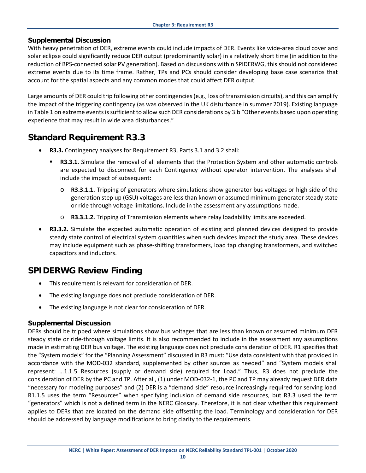#### <span id="page-18-0"></span>**Supplemental Discussion**

With heavy penetration of DER, extreme events could include impacts of DER. Events like wide-area cloud cover and solar eclipse could significantly reduce DER output (predominantly solar) in a relatively short time (in addition to the reduction of BPS-connected solar PV generation). Based on discussions within SPIDERWG, this should not considered extreme events due to its time frame. Rather, TPs and PCs should consider developing base case scenarios that account for the spatial aspects and any common modes that could affect DER output.

Large amounts of DER could trip following other contingencies (e.g., loss of transmission circuits), and this can amplify the impact of the triggering contingency (as was observed in the UK disturbance in summer 2019). Existing language in Table 1 on extreme events is sufficient to allow such DER considerations by 3.b "Other events based upon operating experience that may result in wide area disturbances."

#### <span id="page-18-1"></span>**Standard Requirement R3.3**

- **R3.3.** Contingency analyses for Requirement R3, Parts 3.1 and 3.2 shall:
	- **R3.3.1.** Simulate the removal of all elements that the Protection System and other automatic controls are expected to disconnect for each Contingency without operator intervention. The analyses shall include the impact of subsequent:
		- o **R3.3.1.1.** Tripping of generators where simulations show generator bus voltages or high side of the generation step up (GSU) voltages are less than known or assumed minimum generator steady state or ride through voltage limitations. Include in the assessment any assumptions made.
		- o **R3.3.1.2.** Tripping of Transmission elements where relay loadability limits are exceeded.
- **R3.3.2.** Simulate the expected automatic operation of existing and planned devices designed to provide steady state control of electrical system quantities when such devices impact the study area. These devices may include equipment such as phase-shifting transformers, load tap changing transformers, and switched capacitors and inductors.

#### <span id="page-18-2"></span>**SPIDERWG Review Finding**

- This requirement is relevant for consideration of DER.
- The existing language does not preclude consideration of DER.
- The existing language is not clear for consideration of DER.

#### <span id="page-18-3"></span>**Supplemental Discussion**

DERs should be tripped where simulations show bus voltages that are less than known or assumed minimum DER steady state or ride-through voltage limits. It is also recommended to include in the assessment any assumptions made in estimating DER bus voltage. The existing language does not preclude consideration of DER. R1 specifies that the "System models" for the "Planning Assessment" discussed in R3 must: "Use data consistent with that provided in accordance with the MOD-032 standard, supplemented by other sources as needed" and "System models shall represent: …1.1.5 Resources (supply or demand side) required for Load." Thus, R3 does not preclude the consideration of DER by the PC and TP. After all, (1) under MOD-032-1, the PC and TP may already request DER data "necessary for modeling purposes" and (2) DER is a "demand side" resource increasingly required for serving load. R1.1.5 uses the term "Resources" when specifying inclusion of demand side resources, but R3.3 used the term "generators" which is not a defined term in the NERC Glossary. Therefore, it is not clear whether this requirement applies to DERs that are located on the demand side offsetting the load. Terminology and consideration for DER should be addressed by language modifications to bring clarity to the requirements.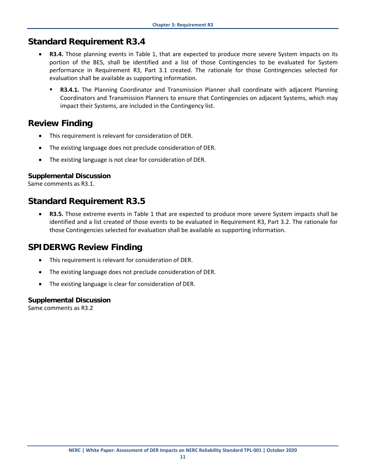- <span id="page-19-0"></span>R3.4. Those planning events in Table 1, that are expected to produce more severe System impacts on its portion of the BES, shall be identified and a list of those Contingencies to be evaluated for System performance in Requirement R3, Part 3.1 created. The rationale for those Contingencies selected for evaluation shall be available as supporting information.
	- **R3.4.1.** The Planning Coordinator and Transmission Planner shall coordinate with adjacent Planning Coordinators and Transmission Planners to ensure that Contingencies on adjacent Systems, which may impact their Systems, are included in the Contingency list.

## <span id="page-19-1"></span>**Review Finding**

- This requirement is relevant for consideration of DER.
- The existing language does not preclude consideration of DER.
- The existing language is not clear for consideration of DER.

#### <span id="page-19-2"></span>**Supplemental Discussion**

Same comments as R3.1.

### <span id="page-19-3"></span>**Standard Requirement R3.5**

• **R3.5.** Those extreme events in Table 1 that are expected to produce more severe System impacts shall be identified and a list created of those events to be evaluated in Requirement R3, Part 3.2. The rationale for those Contingencies selected for evaluation shall be available as supporting information.

### <span id="page-19-4"></span>**SPIDERWG Review Finding**

- This requirement is relevant for consideration of DER.
- The existing language does not preclude consideration of DER.
- The existing language is clear for consideration of DER.

#### <span id="page-19-5"></span>**Supplemental Discussion**

Same comments as R3.2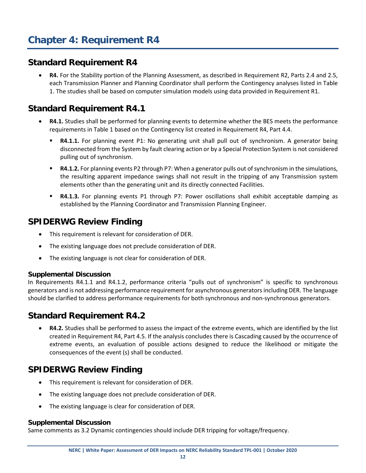<span id="page-20-1"></span><span id="page-20-0"></span>• **R4.** For the Stability portion of the Planning Assessment, as described in Requirement R2, Parts 2.4 and 2.5, each Transmission Planner and Planning Coordinator shall perform the Contingency analyses listed in Table 1. The studies shall be based on computer simulation models using data provided in Requirement R1.

## <span id="page-20-2"></span>**Standard Requirement R4.1**

- **R4.1.** Studies shall be performed for planning events to determine whether the BES meets the performance requirements in Table 1 based on the Contingency list created in Requirement R4, Part 4.4.
	- **R4.1.1.** For planning event P1: No generating unit shall pull out of synchronism. A generator being disconnected from the System by fault clearing action or by a Special Protection System is not considered pulling out of synchronism.
	- **R4.1.2.** For planning events P2 through P7: When a generator pulls out of synchronism in the simulations, the resulting apparent impedance swings shall not result in the tripping of any Transmission system elements other than the generating unit and its directly connected Facilities.
	- **R4.1.3.** For planning events P1 through P7: Power oscillations shall exhibit acceptable damping as established by the Planning Coordinator and Transmission Planning Engineer.

### <span id="page-20-3"></span>**SPIDERWG Review Finding**

- This requirement is relevant for consideration of DER.
- The existing language does not preclude consideration of DER.
- The existing language is not clear for consideration of DER.

#### <span id="page-20-4"></span>**Supplemental Discussion**

In Requirements R4.1.1 and R4.1.2, performance criteria "pulls out of synchronism" is specific to synchronous generators and is not addressing performance requirement for asynchronous generators including DER. The language should be clarified to address performance requirements for both synchronous and non-synchronous generators.

## <span id="page-20-5"></span>**Standard Requirement R4.2**

• **R4.2.** Studies shall be performed to assess the impact of the extreme events, which are identified by the list created in Requirement R4, Part 4.5. If the analysis concludes there is Cascading caused by the occurrence of extreme events, an evaluation of possible actions designed to reduce the likelihood or mitigate the consequences of the event (s) shall be conducted.

### <span id="page-20-6"></span>**SPIDERWG Review Finding**

- This requirement is relevant for consideration of DER.
- The existing language does not preclude consideration of DER.
- The existing language is clear for consideration of DER.

#### <span id="page-20-7"></span>**Supplemental Discussion**

Same comments as 3.2 Dynamic contingencies should include DER tripping for voltage/frequency.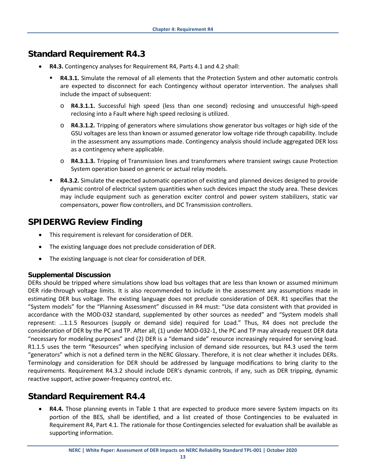- <span id="page-21-0"></span>• **R4.3.** Contingency analyses for Requirement R4, Parts 4.1 and 4.2 shall:
	- **R4.3.1.** Simulate the removal of all elements that the Protection System and other automatic controls are expected to disconnect for each Contingency without operator intervention. The analyses shall include the impact of subsequent:
		- o **R4.3.1.1.** Successful high speed (less than one second) reclosing and unsuccessful high-speed reclosing into a Fault where high speed reclosing is utilized.
		- o **R4.3.1.2.** Tripping of generators where simulations show generator bus voltages or high side of the GSU voltages are less than known or assumed generator low voltage ride through capability. Include in the assessment any assumptions made. Contingency analysis should include aggregated DER loss as a contingency where applicable.
		- o **R4.3.1.3.** Tripping of Transmission lines and transformers where transient swings cause Protection System operation based on generic or actual relay models.
	- **R4.3.2.** Simulate the expected automatic operation of existing and planned devices designed to provide dynamic control of electrical system quantities when such devices impact the study area. These devices may include equipment such as generation exciter control and power system stabilizers, static var compensators, power flow controllers, and DC Transmission controllers.

## <span id="page-21-1"></span>**SPIDERWG Review Finding**

- This requirement is relevant for consideration of DER.
- The existing language does not preclude consideration of DER.
- The existing language is not clear for consideration of DER.

#### <span id="page-21-2"></span>**Supplemental Discussion**

DERs should be tripped where simulations show load bus voltages that are less than known or assumed minimum DER ride-through voltage limits. It is also recommended to include in the assessment any assumptions made in estimating DER bus voltage. The existing language does not preclude consideration of DER. R1 specifies that the "System models" for the "Planning Assessment" discussed in R4 must: "Use data consistent with that provided in accordance with the MOD-032 standard, supplemented by other sources as needed" and "System models shall represent: …1.1.5 Resources (supply or demand side) required for Load." Thus, R4 does not preclude the consideration of DER by the PC and TP. After all, (1) under MOD-032-1, the PC and TP may already request DER data "necessary for modeling purposes" and (2) DER is a "demand side" resource increasingly required for serving load. R1.1.5 uses the term "Resources" when specifying inclusion of demand side resources, but R4.3 used the term "generators" which is not a defined term in the NERC Glossary. Therefore, it is not clear whether it includes DERs. Terminology and consideration for DER should be addressed by language modifications to bring clarity to the requirements. Requirement R4.3.2 should include DER's dynamic controls, if any, such as DER tripping, dynamic reactive support, active power-frequency control, etc.

### <span id="page-21-3"></span>**Standard Requirement R4.4**

• **R4.4.** Those planning events in Table 1 that are expected to produce more severe System impacts on its portion of the BES, shall be identified, and a list created of those Contingencies to be evaluated in Requirement R4, Part 4.1. The rationale for those Contingencies selected for evaluation shall be available as supporting information.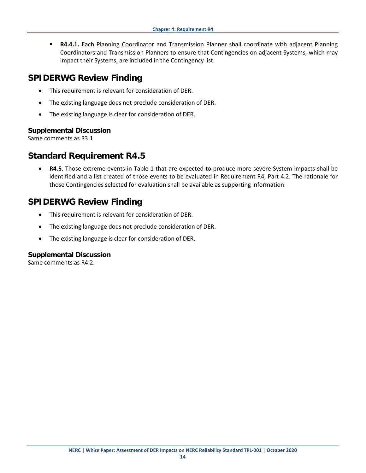**R4.4.1.** Each Planning Coordinator and Transmission Planner shall coordinate with adjacent Planning Coordinators and Transmission Planners to ensure that Contingencies on adjacent Systems, which may impact their Systems, are included in the Contingency list.

#### <span id="page-22-0"></span>**SPIDERWG Review Finding**

- This requirement is relevant for consideration of DER.
- The existing language does not preclude consideration of DER.
- The existing language is clear for consideration of DER.

#### <span id="page-22-1"></span>**Supplemental Discussion**

Same comments as R3.1.

#### <span id="page-22-2"></span>**Standard Requirement R4.5**

• **R4.5**. Those extreme events in Table 1 that are expected to produce more severe System impacts shall be identified and a list created of those events to be evaluated in Requirement R4, Part 4.2. The rationale for those Contingencies selected for evaluation shall be available as supporting information.

#### <span id="page-22-3"></span>**SPIDERWG Review Finding**

- This requirement is relevant for consideration of DER.
- The existing language does not preclude consideration of DER.
- The existing language is clear for consideration of DER.

#### <span id="page-22-4"></span>**Supplemental Discussion**

Same comments as R4.2.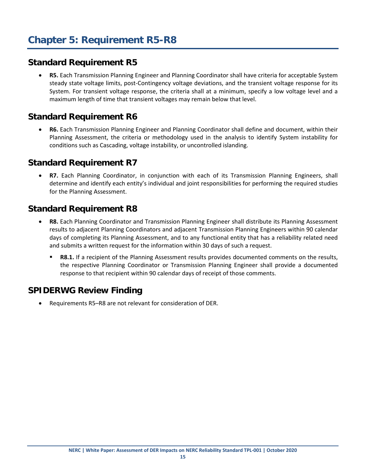<span id="page-23-1"></span><span id="page-23-0"></span>• **R5.** Each Transmission Planning Engineer and Planning Coordinator shall have criteria for acceptable System steady state voltage limits, post-Contingency voltage deviations, and the transient voltage response for its System. For transient voltage response, the criteria shall at a minimum, specify a low voltage level and a maximum length of time that transient voltages may remain below that level.

## <span id="page-23-2"></span>**Standard Requirement R6**

• **R6.** Each Transmission Planning Engineer and Planning Coordinator shall define and document, within their Planning Assessment, the criteria or methodology used in the analysis to identify System instability for conditions such as Cascading, voltage instability, or uncontrolled islanding.

### <span id="page-23-3"></span>**Standard Requirement R7**

• **R7.** Each Planning Coordinator, in conjunction with each of its Transmission Planning Engineers, shall determine and identify each entity's individual and joint responsibilities for performing the required studies for the Planning Assessment.

## <span id="page-23-4"></span>**Standard Requirement R8**

- **R8.** Each Planning Coordinator and Transmission Planning Engineer shall distribute its Planning Assessment results to adjacent Planning Coordinators and adjacent Transmission Planning Engineers within 90 calendar days of completing its Planning Assessment, and to any functional entity that has a reliability related need and submits a written request for the information within 30 days of such a request.
	- **R8.1.** If a recipient of the Planning Assessment results provides documented comments on the results, the respective Planning Coordinator or Transmission Planning Engineer shall provide a documented response to that recipient within 90 calendar days of receipt of those comments.

## <span id="page-23-5"></span>**SPIDERWG Review Finding**

• Requirements R5–R8 are not relevant for consideration of DER.